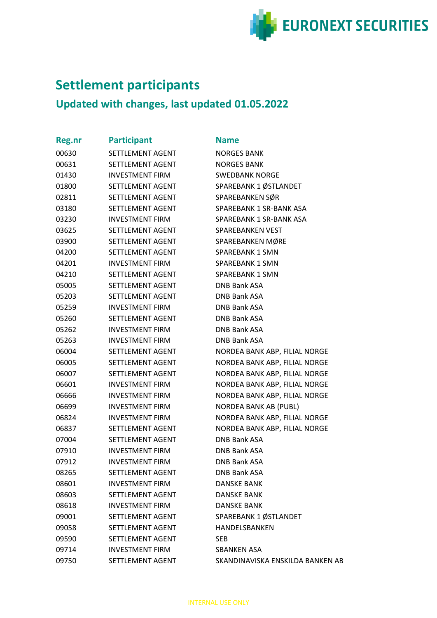

## **Settlement participants**

## **Updated with changes, last updated 01.05.2022**

| <b>Reg.nr</b> | <b>Participant</b>      | <b>Name</b>   |
|---------------|-------------------------|---------------|
| 00630         | SETTLEMENT AGENT        | <b>NORGE</b>  |
| 00631         | SETTLEMENT AGENT        | <b>NORGE</b>  |
| 01430         | <b>INVESTMENT FIRM</b>  | <b>SWEDE</b>  |
| 01800         | SETTLEMENT AGENT        | <b>SPAREE</b> |
| 02811         | SETTLEMENT AGENT        | <b>SPAREE</b> |
| 03180         | SETTLEMENT AGENT        | <b>SPAREE</b> |
| 03230         | <b>INVESTMENT FIRM</b>  | SPAREE        |
| 03625         | SETTLEMENT AGENT        | <b>SPAREE</b> |
| 03900         | SETTLEMENT AGENT        | <b>SPAREE</b> |
| 04200         | SETTLEMENT AGENT        | <b>SPAREE</b> |
| 04201         | <b>INVESTMENT FIRM</b>  | SPAREE        |
| 04210         | SETTLEMENT AGENT        | <b>SPAREE</b> |
| 05005         | SETTLEMENT AGENT        | DNB Ba        |
| 05203         | SETTLEMENT AGENT        | DNB Ba        |
| 05259         | <b>INVESTMENT FIRM</b>  | DNB Ba        |
| 05260         | SETTLEMENT AGENT        | DNB Ba        |
| 05262         | <b>INVESTMENT FIRM</b>  | DNB Ba        |
| 05263         | <b>INVESTMENT FIRM</b>  | DNB Ba        |
| 06004         | SETTLEMENT AGENT        | <b>NORDE</b>  |
| 06005         | SETTLEMENT AGENT        | <b>NORDE</b>  |
| 06007         | SETTLEMENT AGENT        | <b>NORDE</b>  |
| 06601         | <b>INVESTMENT FIRM</b>  | <b>NORDE</b>  |
| 06666         | <b>INVESTMENT FIRM</b>  | <b>NORDE</b>  |
| 06699         | <b>INVESTMENT FIRM</b>  | <b>NORDE</b>  |
| 06824         | <b>INVESTMENT FIRM</b>  | <b>NORDE</b>  |
| 06837         | SETTLEMENT AGENT        | <b>NORDE</b>  |
| 07004         | SETTLEMENT AGENT        | DNB Ba        |
| 07910         | <b>INVESTMENT FIRM</b>  | DNB Ba        |
| 07912         | <b>INVESTMENT FIRM</b>  | DNB Ba        |
| 08265         | SETTLEMENT AGENT        | DNB Ba        |
| 08601         | <b>INVESTMENT FIRM</b>  | <b>DANSK</b>  |
| 08603         | SETTLEMENT AGENT        | <b>DANSK</b>  |
| 08618         | <b>INVESTMENT FIRM</b>  | <b>DANSK</b>  |
| 09001         | SETTLEMENT AGENT        | <b>SPAREE</b> |
| 09058         | SETTLEMENT AGENT        | <b>HANDE</b>  |
| 09590         | SETTLEMENT AGENT        | <b>SEB</b>    |
| 09714         | <b>INVESTMENT FIRM</b>  | <b>SBANK</b>  |
| 09750         | <b>SETTLEMENT AGENT</b> | <b>SKAND</b>  |
|               |                         |               |

**JORGES BANK ORGES BANK** WEDBANK NORGE PAREBANK 1 ØSTLANDET PAREBANKEN SØR PAREBANK 1 SR-BANK ASA PAREBANK 1 SR-BANK ASA PAREBANKEN VEST PAREBANKEN MØRE PAREBANK 1 SMN PAREBANK 1 SMN PAREBANK 1 SMN NB Bank ASA **DNB Bank ASA DNB Bank ASA** NB Bank ASA NB Bank ASA **DNB Bank ASA** ORDEA BANK ABP, FILIAL NORGE ORDEA BANK ABP, FILIAL NORGE **JORDEA BANK ABP, FILIAL NORGE JORDEA BANK ABP, FILIAL NORGE** ORDEA BANK ABP, FILIAL NORGE **JORDEA BANK AB (PUBL)** ORDEA BANK ABP, FILIAL NORGE ORDEA BANK ABP, FILIAL NORGE NB Bank ASA NB Bank ASA **DNB Bank ASA** NB Bank ASA **DANSKE BANK DANSKE BANK** DANSKE BANK PAREBANK 1 ØSTLANDET **IANDELSBANKEN BANKEN ASA** KANDINAVISKA ENSKILDA BANKEN AB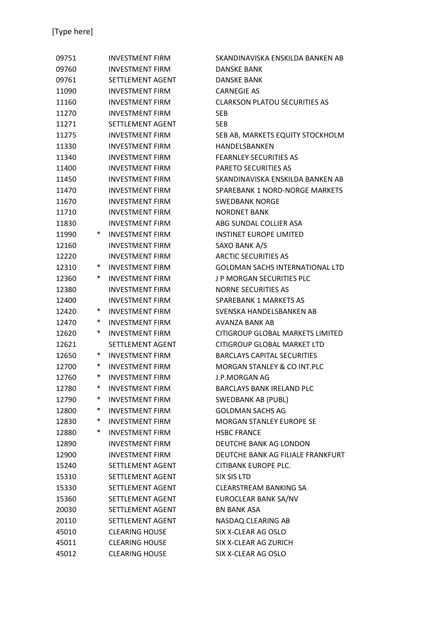| 09751 |        | <b>INVESTMENT FIRM</b> | SKANDINAVISKA ENSKILDA BANKEN AB       |
|-------|--------|------------------------|----------------------------------------|
| 09760 |        | <b>INVESTMENT FIRM</b> | DANSKE BANK                            |
| 09761 |        | SETTLEMENT AGENT       | <b>DANSKE BANK</b>                     |
| 11090 |        | <b>INVESTMENT FIRM</b> | <b>CARNEGIE AS</b>                     |
| 11160 |        | <b>INVESTMENT FIRM</b> | <b>CLARKSON PLATOU SECURITIES AS</b>   |
| 11270 |        | <b>INVESTMENT FIRM</b> | <b>SEB</b>                             |
| 11271 |        | SETTLEMENT AGENT       | <b>SEB</b>                             |
| 11275 |        | <b>INVESTMENT FIRM</b> | SEB AB, MARKETS EQUITY STOCKHOLM       |
| 11330 |        | <b>INVESTMENT FIRM</b> | HANDELSBANKEN                          |
| 11340 |        | <b>INVESTMENT FIRM</b> | <b>FEARNLEY SECURITIES AS</b>          |
| 11400 |        | <b>INVESTMENT FIRM</b> | PARETO SECURITIES AS                   |
| 11450 |        | <b>INVESTMENT FIRM</b> | SKANDINAVISKA ENSKILDA BANKEN AB       |
| 11470 |        | <b>INVESTMENT FIRM</b> | SPAREBANK 1 NORD-NORGE MARKETS         |
| 11670 |        | <b>INVESTMENT FIRM</b> | <b>SWEDBANK NORGE</b>                  |
| 11710 |        | <b>INVESTMENT FIRM</b> | <b>NORDNET BANK</b>                    |
| 11830 |        | <b>INVESTMENT FIRM</b> | ABG SUNDAL COLLIER ASA                 |
| 11990 | $\ast$ | <b>INVESTMENT FIRM</b> | <b>INSTINET EUROPE LIMITED</b>         |
| 12160 |        | <b>INVESTMENT FIRM</b> | SAXO BANK A/S                          |
| 12220 |        | <b>INVESTMENT FIRM</b> | <b>ARCTIC SECURITIES AS</b>            |
| 12310 | ∗      | <b>INVESTMENT FIRM</b> | <b>GOLDMAN SACHS INTERNATIONAL LTD</b> |
| 12360 | $\ast$ | <b>INVESTMENT FIRM</b> | J P MORGAN SECURITIES PLC              |
| 12380 |        | <b>INVESTMENT FIRM</b> | <b>NORNE SECURITIES AS</b>             |
| 12400 |        | <b>INVESTMENT FIRM</b> | SPAREBANK 1 MARKETS AS                 |
| 12420 | ∗      | <b>INVESTMENT FIRM</b> | SVENSKA HANDELSBANKEN AB               |
| 12470 | $\ast$ | <b>INVESTMENT FIRM</b> | AVANZA BANK AB                         |
| 12620 | ∗      | <b>INVESTMENT FIRM</b> | CITIGROUP GLOBAL MARKETS LIMITED       |
| 12621 |        | SETTLEMENT AGENT       | CITIGROUP GLOBAL MARKET LTD            |
| 12650 | ∗      | <b>INVESTMENT FIRM</b> | <b>BARCLAYS CAPITAL SECURITIES</b>     |
| 12700 | $\ast$ | <b>INVESTMENT FIRM</b> | <b>MORGAN STANLEY &amp; CO INT.PLC</b> |
| 12760 | ∗      | <b>INVESTMENT FIRM</b> | <b>J.P.MORGAN AG</b>                   |
| 12780 | $\ast$ | <b>INVESTMENT FIRM</b> | <b>BARCLAYS BANK IRELAND PLC</b>       |
| 12790 | ∗      | <b>INVESTMENT FIRM</b> | SWEDBANK AB (PUBL)                     |
| 12800 | $\ast$ | <b>INVESTMENT FIRM</b> | <b>GOLDMAN SACHS AG</b>                |
| 12830 | $\ast$ | <b>INVESTMENT FIRM</b> | <b>MORGAN STANLEY EUROPE SE</b>        |
| 12880 | $\ast$ | <b>INVESTMENT FIRM</b> | <b>HSBC FRANCE</b>                     |
| 12890 |        | <b>INVESTMENT FIRM</b> | DEUTCHE BANK AG LONDON                 |
| 12900 |        | <b>INVESTMENT FIRM</b> | DEUTCHE BANK AG FILIALE FRANKFURT      |
| 15240 |        | SETTLEMENT AGENT       | <b>CITIBANK EUROPE PLC.</b>            |
| 15310 |        | SETTLEMENT AGENT       | SIX SIS LTD                            |
| 15330 |        | SETTLEMENT AGENT       | CLEARSTREAM BANKING SA                 |
| 15360 |        | SETTLEMENT AGENT       | EUROCLEAR BANK SA/NV                   |
| 20030 |        | SETTLEMENT AGENT       | <b>BN BANK ASA</b>                     |
| 20110 |        | SETTLEMENT AGENT       | NASDAQ CLEARING AB                     |
| 45010 |        | <b>CLEARING HOUSE</b>  | SIX X-CLEAR AG OSLO                    |
| 45011 |        | <b>CLEARING HOUSE</b>  | SIX X-CLEAR AG ZURICH                  |
| 45012 |        | <b>CLEARING HOUSE</b>  | SIX X-CLEAR AG OSLO                    |